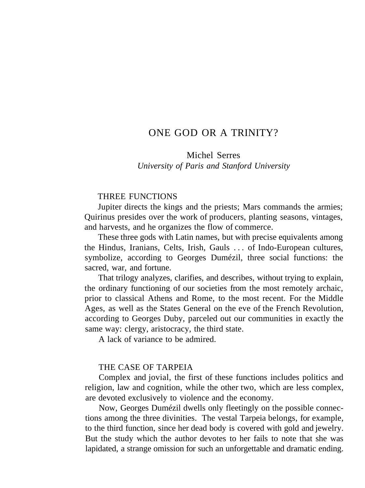# ONE GOD OR A TRINITY?

# Michel Serres *University of Paris and Stanford University*

#### THREE FUNCTIONS

Jupiter directs the kings and the priests; Mars commands the armies; Quirinus presides over the work of producers, planting seasons, vintages, and harvests, and he organizes the flow of commerce.

These three gods with Latin names, but with precise equivalents among the Hindus, Iranians, Celts, Irish, Gauls .. . of Indo-European cultures, symbolize, according to Georges Dumézil, three social functions: the sacred, war, and fortune.

That trilogy analyzes, clarifies, and describes, without trying to explain, the ordinary functioning of our societies from the most remotely archaic, prior to classical Athens and Rome, to the most recent. For the Middle Ages, as well as the States General on the eve of the French Revolution, according to Georges Duby, parceled out our communities in exactly the same way: clergy, aristocracy, the third state.

A lack of variance to be admired.

#### THE CASE OF TARPEIA

Complex and jovial, the first of these functions includes politics and religion, law and cognition, while the other two, which are less complex, are devoted exclusively to violence and the economy.

Now, Georges Dumézil dwells only fleetingly on the possible connections among the three divinities. The vestal Tarpeia belongs, for example, to the third function, since her dead body is covered with gold and jewelry. But the study which the author devotes to her fails to note that she was lapidated, a strange omission for such an unforgettable and dramatic ending.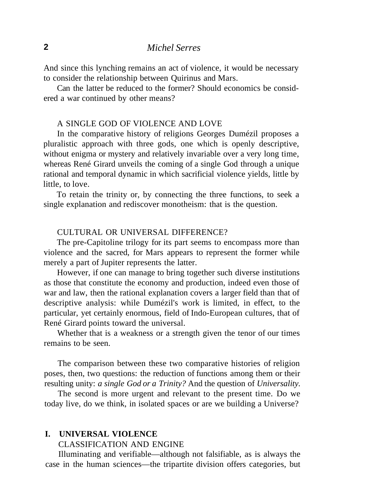And since this lynching remains an act of violence, it would be necessary to consider the relationship between Quirinus and Mars.

Can the latter be reduced to the former? Should economics be considered a war continued by other means?

## A SINGLE GOD OF VIOLENCE AND LOVE

In the comparative history of religions Georges Dumézil proposes a pluralistic approach with three gods, one which is openly descriptive, without enigma or mystery and relatively invariable over a very long time, whereas René Girard unveils the coming of a single God through a unique rational and temporal dynamic in which sacrificial violence yields, little by little, to love.

To retain the trinity or, by connecting the three functions, to seek a single explanation and rediscover monotheism: that is the question.

## CULTURAL OR UNIVERSAL DIFFERENCE?

The pre-Capitoline trilogy for its part seems to encompass more than violence and the sacred, for Mars appears to represent the former while merely a part of Jupiter represents the latter.

However, if one can manage to bring together such diverse institutions as those that constitute the economy and production, indeed even those of war and law, then the rational explanation covers a larger field than that of descriptive analysis: while Dumézil's work is limited, in effect, to the particular, yet certainly enormous, field of Indo-European cultures, that of René Girard points toward the universal.

Whether that is a weakness or a strength given the tenor of our times remains to be seen.

The comparison between these two comparative histories of religion poses, then, two questions: the reduction of functions among them or their resulting unity: *a single God or a Trinity?* And the question of *Universality.*

The second is more urgent and relevant to the present time. Do we today live, do we think, in isolated spaces or are we building a Universe?

### **I. UNIVERSAL VIOLENCE**

# CLASSIFICATION AND ENGINE

Illuminating and verifiable—although not falsifiable, as is always the case in the human sciences—the tripartite division offers categories, but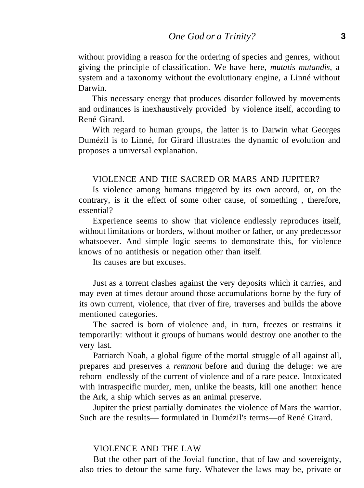without providing a reason for the ordering of species and genres, without giving the principle of classification. We have here, *mutatis mutandis,* a system and a taxonomy without the evolutionary engine, a Linné without Darwin.

This necessary energy that produces disorder followed by movements and ordinances is inexhaustively provided by violence itself, according to René Girard.

With regard to human groups, the latter is to Darwin what Georges Dumézil is to Linné, for Girard illustrates the dynamic of evolution and proposes a universal explanation.

# VIOLENCE AND THE SACRED OR MARS AND JUPITER?

Is violence among humans triggered by its own accord, or, on the contrary, is it the effect of some other cause, of something , therefore, essential?

Experience seems to show that violence endlessly reproduces itself, without limitations or borders, without mother or father, or any predecessor whatsoever. And simple logic seems to demonstrate this, for violence knows of no antithesis or negation other than itself.

Its causes are but excuses.

Just as a torrent clashes against the very deposits which it carries, and may even at times detour around those accumulations borne by the fury of its own current, violence, that river of fire, traverses and builds the above mentioned categories.

The sacred is born of violence and, in turn, freezes or restrains it temporarily: without it groups of humans would destroy one another to the very last.

Patriarch Noah, a global figure of the mortal struggle of all against all, prepares and preserves a *remnant* before and during the deluge: we are reborn endlessly of the current of violence and of a rare peace. Intoxicated with intraspecific murder, men, unlike the beasts, kill one another: hence the Ark, a ship which serves as an animal preserve.

Jupiter the priest partially dominates the violence of Mars the warrior. Such are the results— formulated in Dumézil's terms—of René Girard.

#### VIOLENCE AND THE LAW

But the other part of the Jovial function, that of law and sovereignty, also tries to detour the same fury. Whatever the laws may be, private or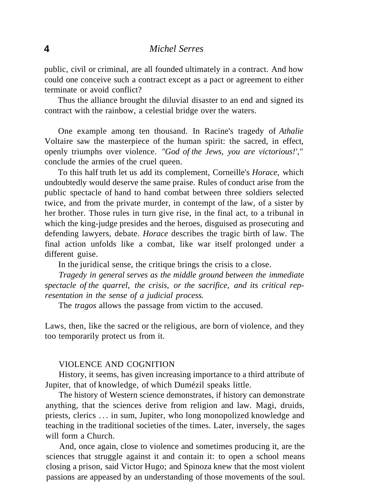public, civil or criminal, are all founded ultimately in a contract. And how could one conceive such a contract except as a pact or agreement to either terminate or avoid conflict?

Thus the alliance brought the diluvial disaster to an end and signed its contract with the rainbow, a celestial bridge over the waters.

One example among ten thousand. In Racine's tragedy of *Athalie* Voltaire saw the masterpiece of the human spirit: the sacred, in effect, openly triumphs over violence. *"God of the Jews, you are victorious!',"* conclude the armies of the cruel queen.

To this half truth let us add its complement, Corneille's *Horace,* which undoubtedly would deserve the same praise. Rules of conduct arise from the public spectacle of hand to hand combat between three soldiers selected twice, and from the private murder, in contempt of the law, of a sister by her brother. Those rules in turn give rise, in the final act, to a tribunal in which the king-judge presides and the heroes, disguised as prosecuting and defending lawyers, debate. *Horace* describes the tragic birth of law. The final action unfolds like a combat, like war itself prolonged under a different guise.

In the juridical sense, the critique brings the crisis to a close.

*Tragedy in general serves as the middle ground between the immediate spectacle of the quarrel, the crisis, or the sacrifice, and its critical representation in the sense of a judicial process.*

The *tragos* allows the passage from victim to the accused.

Laws, then, like the sacred or the religious, are born of violence, and they too temporarily protect us from it.

## VIOLENCE AND COGNITION

History, it seems, has given increasing importance to a third attribute of Jupiter, that of knowledge, of which Dumézil speaks little.

The history of Western science demonstrates, if history can demonstrate anything, that the sciences derive from religion and law. Magi, druids, priests, clerics .. . in sum, Jupiter, who long monopolized knowledge and teaching in the traditional societies of the times. Later, inversely, the sages will form a Church.

And, once again, close to violence and sometimes producing it, are the sciences that struggle against it and contain it: to open a school means closing a prison, said Victor Hugo; and Spinoza knew that the most violent passions are appeased by an understanding of those movements of the soul.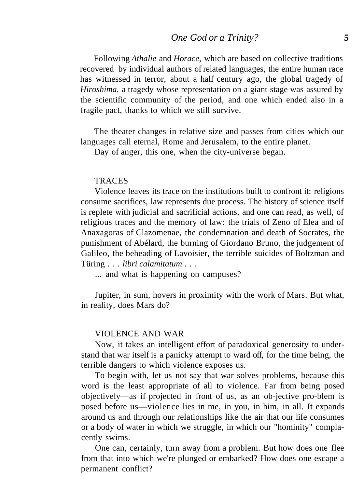# *One God or a Trinity?*

Following *Athalie* and *Horace,* which are based on collective traditions recovered by individual authors of related languages, the entire human race has witnessed in terror, about a half century ago, the global tragedy of *Hiroshima,* a tragedy whose representation on a giant stage was assured by the scientific community of the period, and one which ended also in a fragile pact, thanks to which we still survive.

The theater changes in relative size and passes from cities which our languages call eternal, Rome and Jerusalem, to the entire planet.

Day of anger, this one, when the city-universe began.

### **TRACES**

Violence leaves its trace on the institutions built to confront it: religions consume sacrifices, law represents due process. The history of science itself is replete with judicial and sacrificial actions, and one can read, as well, of religious traces and the memory of law: the trials of Zeno of Elea and of Anaxagoras of Clazomenae, the condemnation and death of Socrates, the punishment of Abélard, the burning of Giordano Bruno, the judgement of Galileo, the beheading of Lavoisier, the terrible suicides of Boltzman and Türing . . . *libri calamitatum . .* .

*..*. and what is happening on campuses?

Jupiter, in sum, hovers in proximity with the work of Mars. But what, in reality, does Mars do?

### VIOLENCE AND WAR

Now, it takes an intelligent effort of paradoxical generosity to understand that war itself is a panicky attempt to ward off, for the time being, the terrible dangers to which violence exposes us.

To begin with, let us not say that war solves problems, because this word is the least appropriate of all to violence. Far from being posed objectively—as if projected in front of us, as an ob-jective pro-blem is posed before us—violence lies in me, in you, in him, in all. It expands around us and through our relationships like the air that our life consumes or a body of water in which we struggle, in which our "hominity" complacently swims.

One can, certainly, turn away from a problem. But how does one flee from that into which we're plunged or embarked? How does one escape a permanent conflict?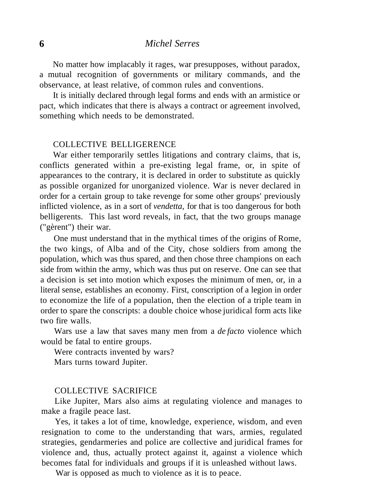No matter how implacably it rages, war presupposes, without paradox, a mutual recognition of governments or military commands, and the observance, at least relative, of common rules and conventions.

It is initially declared through legal forms and ends with an armistice or pact, which indicates that there is always a contract or agreement involved, something which needs to be demonstrated.

### COLLECTIVE BELLIGERENCE

War either temporarily settles litigations and contrary claims, that is, conflicts generated within a pre-existing legal frame, or, in spite of appearances to the contrary, it is declared in order to substitute as quickly as possible organized for unorganized violence. War is never declared in order for a certain group to take revenge for some other groups' previously inflicted violence, as in a sort of *vendetta,* for that is too dangerous for both belligerents. This last word reveals, in fact, that the two groups manage ("gèrent") their war.

One must understand that in the mythical times of the origins of Rome, the two kings, of Alba and of the City, chose soldiers from among the population, which was thus spared, and then chose three champions on each side from within the army, which was thus put on reserve. One can see that a decision is set into motion which exposes the minimum of men, or, in a literal sense, establishes an economy. First, conscription of a legion in order to economize the life of a population, then the election of a triple team in order to spare the conscripts: a double choice whose juridical form acts like two fire walls.

Wars use a law that saves many men from a *de facto* violence which would be fatal to entire groups.

Were contracts invented by wars?

Mars turns toward Jupiter.

#### COLLECTIVE SACRIFICE

Like Jupiter, Mars also aims at regulating violence and manages to make a fragile peace last.

Yes, it takes a lot of time, knowledge, experience, wisdom, and even resignation to come to the understanding that wars, armies, regulated strategies, gendarmeries and police are collective and juridical frames for violence and, thus, actually protect against it, against a violence which becomes fatal for individuals and groups if it is unleashed without laws.

War is opposed as much to violence as it is to peace.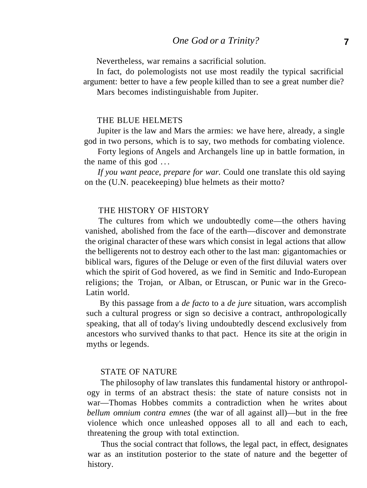Nevertheless, war remains a sacrificial solution.

In fact, do polemologists not use most readily the typical sacrificial argument: better to have a few people killed than to see a great number die? Mars becomes indistinguishable from Jupiter.

#### THE BLUE HELMETS

Jupiter is the law and Mars the armies: we have here, already, a single god in two persons, which is to say, two methods for combating violence.

Forty legions of Angels and Archangels line up in battle formation, in the name of this god .. .

*If you want peace, prepare for war.* Could one translate this old saying on the (U.N. peacekeeping) blue helmets as their motto?

#### THE HISTORY OF HISTORY

The cultures from which we undoubtedly come—the others having vanished, abolished from the face of the earth—discover and demonstrate the original character of these wars which consist in legal actions that allow the belligerents not to destroy each other to the last man: gigantomachies or biblical wars, figures of the Deluge or even of the first diluvial waters over which the spirit of God hovered, as we find in Semitic and Indo-European religions; the Trojan, or Alban, or Etruscan, or Punic war in the Greco-Latin world.

By this passage from a *de facto* to a *de jure* situation, wars accomplish such a cultural progress or sign so decisive a contract, anthropologically speaking, that all of today's living undoubtedly descend exclusively from ancestors who survived thanks to that pact. Hence its site at the origin in myths or legends.

### STATE OF NATURE

The philosophy of law translates this fundamental history or anthropology in terms of an abstract thesis: the state of nature consists not in war—Thomas Hobbes commits a contradiction when he writes about *bellum omnium contra emnes* (the war of all against all)—but in the free violence which once unleashed opposes all to all and each to each, threatening the group with total extinction.

Thus the social contract that follows, the legal pact, in effect, designates war as an institution posterior to the state of nature and the begetter of history.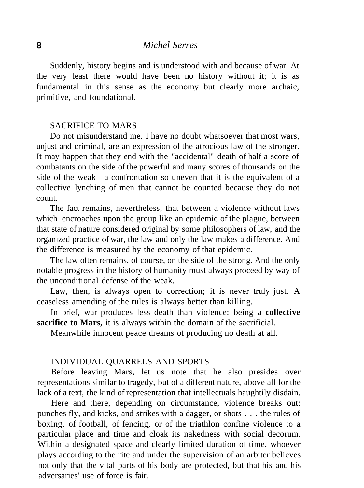Suddenly, history begins and is understood with and because of war. At the very least there would have been no history without it; it is as fundamental in this sense as the economy but clearly more archaic, primitive, and foundational.

## SACRIFICE TO MARS

Do not misunderstand me. I have no doubt whatsoever that most wars, unjust and criminal, are an expression of the atrocious law of the stronger. It may happen that they end with the "accidental" death of half a score of combatants on the side of the powerful and many scores of thousands on the side of the weak—a confrontation so uneven that it is the equivalent of a collective lynching of men that cannot be counted because they do not count.

The fact remains, nevertheless, that between a violence without laws which encroaches upon the group like an epidemic of the plague, between that state of nature considered original by some philosophers of law, and the organized practice of war, the law and only the law makes a difference. And the difference is measured by the economy of that epidemic.

The law often remains, of course, on the side of the strong. And the only notable progress in the history of humanity must always proceed by way of the unconditional defense of the weak.

Law, then, is always open to correction; it is never truly just. A ceaseless amending of the rules is always better than killing.

In brief, war produces less death than violence: being a **collective sacrifice to Mars,** it is always within the domain of the sacrificial.

Meanwhile innocent peace dreams of producing no death at all.

# INDIVIDUAL QUARRELS AND SPORTS

Before leaving Mars, let us note that he also presides over representations similar to tragedy, but of a different nature, above all for the lack of a text, the kind of representation that intellectuals haughtily disdain.

Here and there, depending on circumstance, violence breaks out: punches fly, and kicks, and strikes with a dagger, or shots . . . the rules of boxing, of football, of fencing, or of the triathlon confine violence to a particular place and time and cloak its nakedness with social decorum. Within a designated space and clearly limited duration of time, whoever plays according to the rite and under the supervision of an arbiter believes not only that the vital parts of his body are protected, but that his and his adversaries' use of force is fair.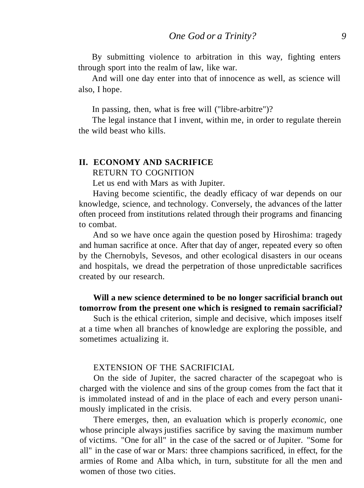By submitting violence to arbitration in this way, fighting enters through sport into the realm of law, like war.

And will one day enter into that of innocence as well, as science will also, I hope.

In passing, then, what is free will ("libre-arbitre")?

The legal instance that I invent, within me, in order to regulate therein the wild beast who kills.

# **II. ECONOMY AND SACRIFICE**

RETURN TO COGNITION

Let us end with Mars as with Jupiter.

Having become scientific, the deadly efficacy of war depends on our knowledge, science, and technology. Conversely, the advances of the latter often proceed from institutions related through their programs and financing to combat.

And so we have once again the question posed by Hiroshima: tragedy and human sacrifice at once. After that day of anger, repeated every so often by the Chernobyls, Sevesos, and other ecological disasters in our oceans and hospitals, we dread the perpetration of those unpredictable sacrifices created by our research.

# **Will a new science determined to be no longer sacrificial branch out tomorrow from the present one which is resigned to remain sacrificial?**

Such is the ethical criterion, simple and decisive, which imposes itself at a time when all branches of knowledge are exploring the possible, and sometimes actualizing it.

### EXTENSION OF THE SACRIFICIAL

On the side of Jupiter, the sacred character of the scapegoat who is charged with the violence and sins of the group comes from the fact that it is immolated instead of and in the place of each and every person unanimously implicated in the crisis.

There emerges, then, an evaluation which is properly *economic,* one whose principle always justifies sacrifice by saving the maximum number of victims. "One for all" in the case of the sacred or of Jupiter. "Some for all" in the case of war or Mars: three champions sacrificed, in effect, for the armies of Rome and Alba which, in turn, substitute for all the men and women of those two cities.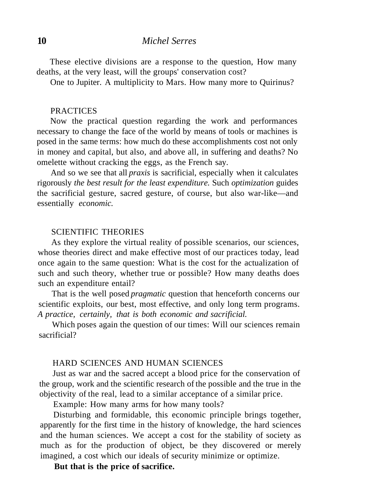These elective divisions are a response to the question, How many deaths, at the very least, will the groups' conservation cost?

One to Jupiter. A multiplicity to Mars. How many more to Quirinus?

### **PRACTICES**

Now the practical question regarding the work and performances necessary to change the face of the world by means of tools or machines is posed in the same terms: how much do these accomplishments cost not only in money and capital, but also, and above all, in suffering and deaths? No omelette without cracking the eggs, as the French say.

And so we see that all *praxis* is sacrificial, especially when it calculates rigorously *the best result for the least expenditure.* Such *optimization* guides the sacrificial gesture, sacred gesture, of course, but also war-like—and essentially *economic.*

#### SCIENTIFIC THEORIES

As they explore the virtual reality of possible scenarios, our sciences, whose theories direct and make effective most of our practices today, lead once again to the same question: What is the cost for the actualization of such and such theory, whether true or possible? How many deaths does such an expenditure entail?

That is the well posed *pragmatic* question that henceforth concerns our scientific exploits, our best, most effective, and only long term programs. *A practice, certainly, that is both economic and sacrificial.*

Which poses again the question of our times: Will our sciences remain sacrificial?

# HARD SCIENCES AND HUMAN SCIENCES

Just as war and the sacred accept a blood price for the conservation of the group, work and the scientific research of the possible and the true in the objectivity of the real, lead to a similar acceptance of a similar price.

Example: How many arms for how many tools?

Disturbing and formidable, this economic principle brings together, apparently for the first time in the history of knowledge, the hard sciences and the human sciences. We accept a cost for the stability of society as much as for the production of object, be they discovered or merely imagined, a cost which our ideals of security minimize or optimize.

#### **But that is the price of sacrifice.**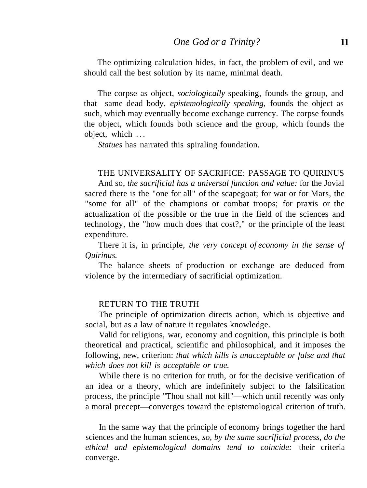The optimizing calculation hides, in fact, the problem of evil, and we should call the best solution by its name, minimal death.

The corpse as object, *sociologically* speaking, founds the group, and that same dead body, *epistemologically speaking,* founds the object as such, which may eventually become exchange currency. The corpse founds the object, which founds both science and the group, which founds the object, which ...

*Statues* has narrated this spiraling foundation.

THE UNIVERSALITY OF SACRIFICE: PASSAGE TO QUIRINUS And so, *the sacrificial has a universal function and value:* for the Jovial sacred there is the "one for all" of the scapegoat; for war or for Mars, the "some for all" of the champions or combat troops; for praxis or the actualization of the possible or the true in the field of the sciences and technology, the "how much does that cost?," or the principle of the least expenditure.

There it is, in principle, *the very concept of economy in the sense of Quirinus.*

The balance sheets of production or exchange are deduced from violence by the intermediary of sacrificial optimization.

## RETURN TO THE TRUTH

The principle of optimization directs action, which is objective and social, but as a law of nature it regulates knowledge.

Valid for religions, war, economy and cognition, this principle is both theoretical and practical, scientific and philosophical, and it imposes the following, new, criterion: *that which kills is unacceptable or false and that which does not kill is acceptable or true.*

While there is no criterion for truth, or for the decisive verification of an idea or a theory, which are indefinitely subject to the falsification process, the principle "Thou shall not kill"—which until recently was only a moral precept—converges toward the epistemological criterion of truth.

In the same way that the principle of economy brings together the hard sciences and the human sciences, *so, by the same sacrificial process, do the ethical and epistemological domains tend to coincide:* their criteria converge.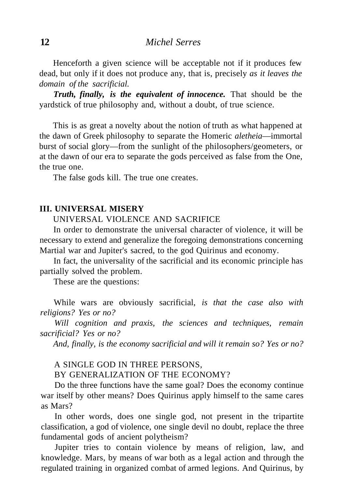Henceforth a given science will be acceptable not if it produces few dead, but only if it does not produce any, that is, precisely *as it leaves the domain of the sacrificial.*

*Truth, finally, is the equivalent of innocence.* That should be the yardstick of true philosophy and, without a doubt, of true science.

This is as great a novelty about the notion of truth as what happened at the dawn of Greek philosophy to separate the Homeric *aletheia*—immortal burst of social glory—from the sunlight of the philosophers/geometers, or at the dawn of our era to separate the gods perceived as false from the One, the true one.

The false gods kill. The true one creates.

#### **III. UNIVERSAL MISERY**

UNIVERSAL VIOLENCE AND SACRIFICE

In order to demonstrate the universal character of violence, it will be necessary to extend and generalize the foregoing demonstrations concerning Martial war and Jupiter's sacred, to the god Quirinus and economy.

In fact, the universality of the sacrificial and its economic principle has partially solved the problem.

These are the questions:

While wars are obviously sacrificial, *is that the case also with religions? Yes or no?*

*Will cognition and praxis, the sciences and techniques, remain sacrificial? Yes or no?*

*And, finally, is the economy sacrificial and will it remain so? Yes or no?*

# A SINGLE GOD IN THREE PERSONS,

BY GENERALIZATION OF THE ECONOMY?

Do the three functions have the same goal? Does the economy continue war itself by other means? Does Quirinus apply himself to the same cares as Mars?

In other words, does one single god, not present in the tripartite classification, a god of violence, one single devil no doubt, replace the three fundamental gods of ancient polytheism?

Jupiter tries to contain violence by means of religion, law, and knowledge. Mars, by means of war both as a legal action and through the regulated training in organized combat of armed legions. And Quirinus, by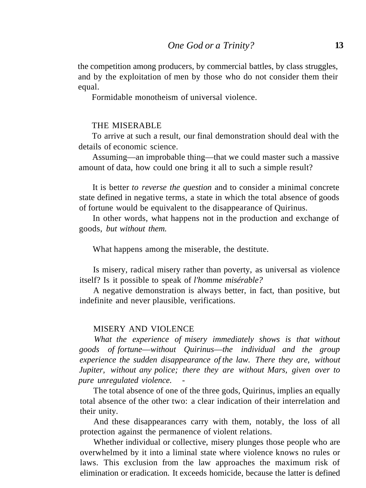the competition among producers, by commercial battles, by class struggles, and by the exploitation of men by those who do not consider them their equal.

Formidable monotheism of universal violence.

# THE MISERABLE

To arrive at such a result, our final demonstration should deal with the details of economic science.

Assuming—an improbable thing—that we could master such a massive amount of data, how could one bring it all to such a simple result?

It is better *to reverse the question* and to consider a minimal concrete state defined in negative terms, a state in which the total absence of goods of fortune would be equivalent to the disappearance of Quirinus.

In other words, what happens not in the production and exchange of goods, *but without them.*

What happens among the miserable, the destitute.

Is misery, radical misery rather than poverty, as universal as violence itself? Is it possible to speak of *l'homme misérable?*

A negative demonstration is always better, in fact, than positive, but indefinite and never plausible, verifications.

# MISERY AND VIOLENCE

*What the experience of misery immediately shows is that without goods of fortune*—*without Quirinus*—*the individual and the group experience the sudden disappearance of the law. There they are, without Jupiter, without any police; there they are without Mars, given over to pure unregulated violence.* -

The total absence of one of the three gods, Quirinus, implies an equally total absence of the other two: a clear indication of their interrelation and their unity.

And these disappearances carry with them, notably, the loss of all protection against the permanence of violent relations.

Whether individual or collective, misery plunges those people who are overwhelmed by it into a liminal state where violence knows no rules or laws. This exclusion from the law approaches the maximum risk of elimination or eradication. It exceeds homicide, because the latter is defined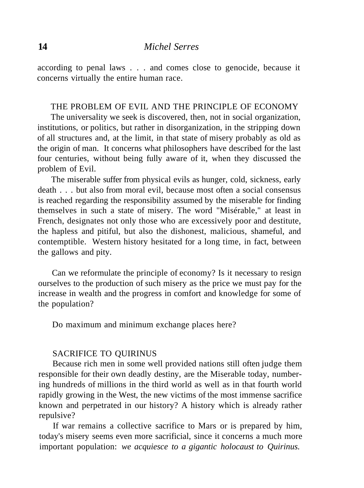according to penal laws . . . and comes close to genocide, because it concerns virtually the entire human race.

### THE PROBLEM OF EVIL AND THE PRINCIPLE OF ECONOMY

The universality we seek is discovered, then, not in social organization, institutions, or politics, but rather in disorganization, in the stripping down of all structures and, at the limit, in that state of misery probably as old as the origin of man. It concerns what philosophers have described for the last four centuries, without being fully aware of it, when they discussed the problem of Evil.

The miserable suffer from physical evils as hunger, cold, sickness, early death . . . but also from moral evil, because most often a social consensus is reached regarding the responsibility assumed by the miserable for finding themselves in such a state of misery. The word "Misérable," at least in French, designates not only those who are excessively poor and destitute, the hapless and pitiful, but also the dishonest, malicious, shameful, and contemptible. Western history hesitated for a long time, in fact, between the gallows and pity.

Can we reformulate the principle of economy? Is it necessary to resign ourselves to the production of such misery as the price we must pay for the increase in wealth and the progress in comfort and knowledge for some of the population?

Do maximum and minimum exchange places here?

# SACRIFICE TO QUIRINUS

Because rich men in some well provided nations still often judge them responsible for their own deadly destiny, are the Miserable today, numbering hundreds of millions in the third world as well as in that fourth world rapidly growing in the West, the new victims of the most immense sacrifice known and perpetrated in our history? A history which is already rather repulsive?

If war remains a collective sacrifice to Mars or is prepared by him, today's misery seems even more sacrificial, since it concerns a much more important population: *we acquiesce to a gigantic holocaust to Quirinus.*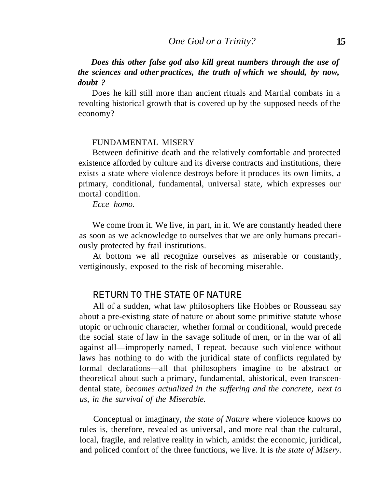*One God or a Trinity?*

# *Does this other false god also kill great numbers through the use of the sciences and other practices, the truth of which we should, by now, doubt ?*

Does he kill still more than ancient rituals and Martial combats in a revolting historical growth that is covered up by the supposed needs of the economy?

#### FUNDAMENTAL MISERY

Between definitive death and the relatively comfortable and protected existence afforded by culture and its diverse contracts and institutions, there exists a state where violence destroys before it produces its own limits, a primary, conditional, fundamental, universal state, which expresses our mortal condition.

*Ecce homo.*

We come from it. We live, in part, in it. We are constantly headed there as soon as we acknowledge to ourselves that we are only humans precariously protected by frail institutions.

At bottom we all recognize ourselves as miserable or constantly, vertiginously, exposed to the risk of becoming miserable.

### RETURN TO THE STATE OF NATURE

All of a sudden, what law philosophers like Hobbes or Rousseau say about a pre-existing state of nature or about some primitive statute whose utopic or uchronic character, whether formal or conditional, would precede the social state of law in the savage solitude of men, or in the war of all against all—improperly named, I repeat, because such violence without laws has nothing to do with the juridical state of conflicts regulated by formal declarations—all that philosophers imagine to be abstract or theoretical about such a primary, fundamental, ahistorical, even transcendental state, *becomes actualized in the suffering and the concrete, next to us, in the survival of the Miserable.*

Conceptual or imaginary, *the state of Nature* where violence knows no rules is, therefore, revealed as universal, and more real than the cultural, local, fragile, and relative reality in which, amidst the economic, juridical, and policed comfort of the three functions, we live. It is *the state of Misery.*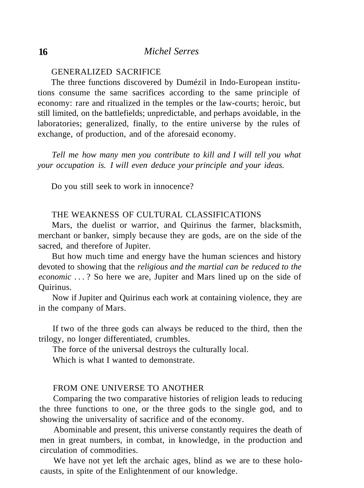## GENERALIZED SACRIFICE

The three functions discovered by Dumézil in Indo-European institutions consume the same sacrifices according to the same principle of economy: rare and ritualized in the temples or the law-courts; heroic, but still limited, on the battlefields; unpredictable, and perhaps avoidable, in the laboratories; generalized, finally, to the entire universe by the rules of exchange, of production, and of the aforesaid economy.

*Tell me how many men you contribute to kill and I will tell you what your occupation is. I will even deduce your principle and your ideas.*

Do you still seek to work in innocence?

### THE WEAKNESS OF CULTURAL CLASSIFICATIONS

Mars, the duelist or warrior, and Quirinus the farmer, blacksmith, merchant or banker, simply because they are gods, are on the side of the sacred, and therefore of Jupiter.

But how much time and energy have the human sciences and history devoted to showing that the *religious and the martial can be reduced to the economic* .. . ? So here we are, Jupiter and Mars lined up on the side of Quirinus.

Now if Jupiter and Quirinus each work at containing violence, they are in the company of Mars.

If two of the three gods can always be reduced to the third, then the trilogy, no longer differentiated, crumbles.

The force of the universal destroys the culturally local.

Which is what I wanted to demonstrate.

## FROM ONE UNIVERSE TO ANOTHER

Comparing the two comparative histories of religion leads to reducing the three functions to one, or the three gods to the single god, and to showing the universality of sacrifice and of the economy.

Abominable and present, this universe constantly requires the death of men in great numbers, in combat, in knowledge, in the production and circulation of commodities.

We have not yet left the archaic ages, blind as we are to these holocausts, in spite of the Enlightenment of our knowledge.